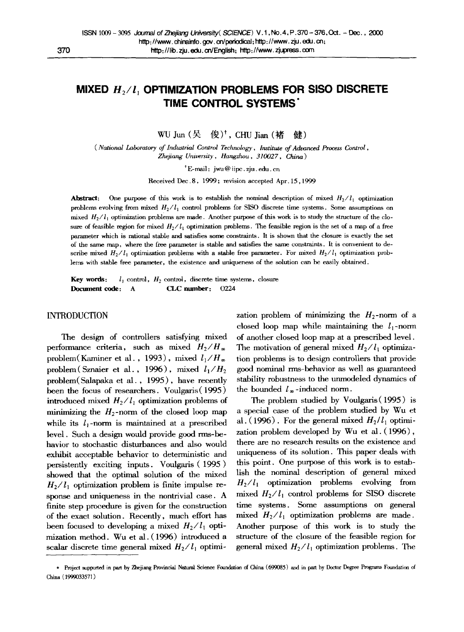# **MIXED** *H2/l* **OPTIMIZATION PROBLEMS FOR SlSO DISCRETE TIME CONTROL SYSTEMS"**

WU Jun  $($ 吴 俊)<sup>†</sup>, CHU Jian  $($ 褚 健 $)$ 

*( National Laboratory of Industrial Control Technology, lnstitule of Athrznced Process Control, Zhefiang University, Hangzhou , 310027, China)* 

\* E-mail: jwu@ iipc. zju. edu. cn

Received Dec. 8, 1999 ; revision accepted Apr. 15,1999

**Abstract:** One purpose of this work is to establish the nominal description of mixed  $H_2/I_1$  optimization problems evolving from mixed  $H_2/I_1$  control problems for SISO discrete time systems. Some assumptions on mixed  $H_2/I_1$  optimization problems are made. Another purpose of this work is to study the structure of the closure of feasible region for mixed  $H_2/I_1$  optimization problems. The feasible region is the set of a map of a free parameter which is rational stable and satisfies some constraints. It is shown that the closure is exactly the set of the same map, where the free parameter is stable and satisfies the same constraints. It is convenient to describe mixed  $H_2/I_1$  optimization problems with a stable free parameter. For mixed  $H_2/I_1$  optimization problems with stable free parameter, the existence and uniqueness of the solution can be easily obtained.

**Key words:**  $l_1$  control,  $H_2$  control, discrete time systems, closure Document code: A CLC number: 0224

## INTRODUCTION

The design of controllers satisfying mixed performance criteria, such as mixed  $H_2/H_{\infty}$ problem(Kaminer et al., 1993), mixed  $l_1/H_{\infty}$ problem (Sznaier et al., 1996), mixed  $l_1/H_2$ problem(Salapaka et al. , 1995), have recently been the focus of researchers. Voulgaris ( 1995 ) introduced mixed  $H_2 / l_1$  optimization problems of minimizing the  $H_2$ -norm of the closed loop map while its  $l_1$ -norm is maintained at a prescribed level. Such a design would provide good rms-behavior to stochastic disturbances and also would exhibit acceptable behavior to deterministic and persistently exciting inputs. Voulgaris (1995) showed that the optimal solution of the mixed  $H_2/I_1$  optimization problem is finite impulse response and uniqueness in the nontrivial case. A finite step procedure is given for the construction of the exact solution. Recently, much effort has been focused to developing a mixed  $H_2/I_1$  optimization method. Wu et al. (1996) introduced a scalar discrete time general mixed  $H_2/I_1$  optimi-

zation problem of minimizing the  $H_2$ -norm of a closed loop map while maintaining the  $l_1$ -norm of another closed loop map at a prescribed level. The motivation of general mixed  $H_2/I_1$  optimization problems is to design controllers that provide good nominal rms-behavior as well as guaranteed stability robustness to the unmodeled dynamics of the bounded  $l_{\infty}$ -induced norm.

The problem studied by Voulgaris(1995) is a special case of the problem studied by Wu et al. (1996). For the general mixed  $H_2/I_1$  optimization problem developed by Wu et al. ( 1996), there are no research results on the existence and uniqueness of its solution. This paper deals with this point. One purpose of this work is to establish the nominal description of general mixed  $H_2/I_1$  optimization problems evolving from mixed  $H_2/I_1$  control problems for SISO discrete time systems. Some assumptions on general mixed  $H_2/I_1$  optimization problems are made. Another purpose of this work is to study the structure of the closure of the feasible region for general mixed  $H_2/I_1$  optimization problems. The

<sup>\*</sup> Project supported in part by Zhejiang Provincial Natural Science Foundation of China (699085) and in part by Doctor Degree Programs Foundation of China ( 1999033571 )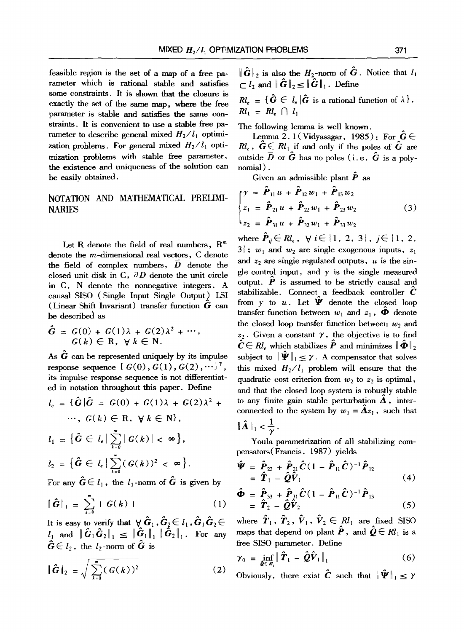feasible region is the set of a map of a free parameter which is rational stable and satisfies some constraints. It is shown that the closure is exactly the set of the same map, where the free parameter is stable and satisfies the same constraints. It is convenient to use a stable free parameter to describe general mixed  $H_2/I_1$  optimization problems. For general mixed  $H_2/l_1$  optimization problems with stable free parameter, the existence and uniqueness of the solution can be easily obtained.

## NOTATION AND MATHEMATICAL PRELIMI-NARIES

Let R denote the field of real numbers,  $R<sup>m</sup>$ denote the m-dimensional real vectors, C denote the field of complex numbers, D denote the closed unit disk in  $C$ ,  $\partial D$  denote the unit circle in C, N denote the normegative integers. A causal SISO (Single Input Single Output) LSI (Linear Shift Invariant) transfer function  $G$  can be described as

$$
\hat{G} = G(0) + G(1)\lambda + G(2)\lambda^{2} + \cdots,
$$
  

$$
G(k) \in \mathbf{R}, \ \forall k \in \mathbf{N}.
$$

As  $\ddot{G}$  can be represented uniquely by its impulse response sequence  $[G(0), G(1), G(2), \cdots]^{T}$ , its impulse response sequence is not differentiated in notation throughout this paper. Define

$$
l_{e} = \{\hat{G}|\hat{G} = G(0) + G(1)\lambda + G(2)\lambda^{2} + \cdots, G(k) \in \mathbb{R}, \forall k \in \mathbb{N}\},
$$
  

$$
l_{1} = \{\hat{G} \in l_{e} | \sum_{k=0}^{\infty} |G(k)| < \infty\},
$$
  

$$
l_{2} = \{\hat{G} \in l_{e} | \sum_{k=0}^{\infty} (G(k))^{2} < \infty\}.
$$

For any  $G \in l_1$ , the  $l_1$ -norm of G is given by

$$
\|\widehat{G}\|_1 = \sum_{k=0}^{\infty} |G(k)| \qquad (1)
$$

It is easy to verify that  $\forall \hat{G}_1, \hat{G}_2 \in l_1, \hat{G}_1 \hat{G}_2 \in$  $l_1$  and  $\|\mathbf{G}_1\mathbf{G}_2\|_1 \leq \|\mathbf{G}_1\|_1 \|\mathbf{G}_2\|_1$ . For any  $\in l_2$ , the  $l_2$ -norm of G is

$$
\|\hat{G}\|_2 = \sqrt{\sum_{k=0}^{\infty} (G(k))^2}
$$
 (2)

 $\|\hat{\mathbf{G}}\|_2$  is also the  $H_2$ -norm of  $\hat{\mathbf{G}}$ . Notice that  $l_1$  $\subset l_2$  and  $\|\hat{G}\|_2 \leq \|\hat{G}\|_1$ . Define

 $\mathbf{R}l_{r} = \{ \hat{\mathbf{G}} \in l_{r} | \hat{\mathbf{G}} \text{ is a rational function of } \lambda \},$  $Rl_1 = Rl_2 \cap l_1$ 

The following lemma is well known.

Lemma 2.1 ( Vidyasagar, 1985) : For  $\hat{G} \in$  $\mathcal{R}l_{\epsilon}$ ,  $\hat{G} \in \mathcal{R}l_1$  if and only if the poles of  $\hat{G}$  are outside  $\overline{D}$  or  $\hat{\boldsymbol{G}}$  has no poles (i.e.  $\hat{\boldsymbol{G}}$  is a polynomial) .

Given an admissible plant  $\hat{\boldsymbol{P}}$  as

$$
\begin{cases}\n y = \hat{\boldsymbol{P}}_{11} u + \hat{\boldsymbol{P}}_{12} w_1 + \hat{\boldsymbol{P}}_{13} w_2 \\
z_1 = \hat{\boldsymbol{P}}_{21} u + \hat{\boldsymbol{P}}_{22} w_1 + \hat{\boldsymbol{P}}_{23} w_2 \\
z_2 = \hat{\boldsymbol{P}}_{31} u + \hat{\boldsymbol{P}}_{32} w_1 + \hat{\boldsymbol{P}}_{33} w_2\n\end{cases}
$$
\n(3)

where  $\hat{\boldsymbol{P}}_{ii} \in \mathcal{R}l_e$ ,  $\forall i \in \{1, 2, 3\}$ ,  $j \in \{1, 2, 3\}$  $3; w_1$  and  $w_2$  are single exogenous inputs,  $z_1$ and  $z_2$  are single regulated outputs, u is the single control input, and  $\gamma$  is the single measured output.  $\hat{P}$  is assumed to be strictly causal and stabilizable. Connect a feedback controller  $\tilde{C}$ from  $\gamma$  to  $u$ . Let  $\ddot{\Psi}$  denote the closed loop transfer function between  $w_1$  and  $z_1$ ,  $\Phi$  denote the closed loop transfer function between  $w_2$  and  $z_2$ . Given a constant  $\gamma$ , the objective is to find  $\hat{\mathbf{C}} \in R_l$ , which stabilizes  $\hat{\mathbf{P}}$  and minimizes  $\|\hat{\mathbf{\Phi}}\|_2$ subject to  $\|\hat{\Psi}\|_{1} \leq \gamma$ . A compensator that solves this mixed  $H_2/I_1$  problem will ensure that the quadratic cost criterion from  $w_2$  to  $z_2$  is optimal, and that the closed loop system is robustly stable to any finite gain stable perturbation  $\hat{\mathbf{\Lambda}}$ , interconnected to the system by  $w_1 = \mathbf{\tilde{A}} z_1$ , such that  $\|\mathbf{\Delta}\|_1 < \frac{1}{\infty}$ .

 $\gamma_{\parallel}$ Youla parametrization of all stabilizing compensators( Francis, 1987) yields

$$
\hat{\mathbf{\Psi}} = \hat{\mathbf{P}}_{22} + \hat{\mathbf{P}}_{21} \hat{\mathbf{C}} (1 - \hat{\mathbf{P}}_{11} \hat{\mathbf{C}})^{-1} \hat{\mathbf{P}}_{12}
$$
  
= 
$$
\hat{\mathbf{T}}_1 - \hat{\mathbf{Q}} \hat{\mathbf{V}}_1
$$
 (4)

$$
\hat{\Phi} = \hat{P}_{33} + \hat{P}_{31}\hat{C}(1 - \hat{P}_{11}\hat{C})^{-1}\hat{P}_{13} \n= \hat{T}_2 - \hat{Q}\hat{V}_2
$$
\n(5)

where  $\hat{\boldsymbol{T}}_1$ ,  $\hat{\boldsymbol{T}}_2$ ,  $\hat{\boldsymbol{V}}_1$ ,  $\hat{\boldsymbol{V}}_2 \in R_l$  are fixed SISO maps that depend on plant  $\hat{P}$ , and  $\hat{Q} \in Rl_1$  is a free SISO parameter. Define

$$
\gamma_0 = \inf_{\hat{\boldsymbol{\varrho}} \in \mathcal{R}_i} \| \hat{\boldsymbol{T}}_1 - \hat{\boldsymbol{Q}} \hat{\boldsymbol{V}}_1 \|_1 \tag{6}
$$

Obviously, there exist  $\hat{\mathbf{C}}$  such that  $\|\hat{\mathbf{\Psi}}\|_1 \leq \gamma$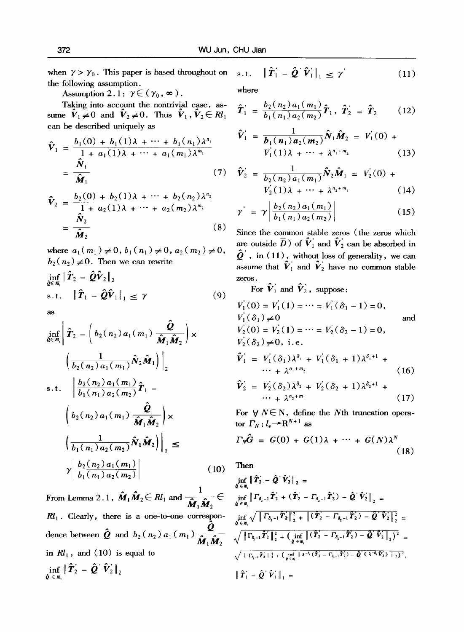when  $\gamma > \gamma_0$ . This paper is based throughout on s.t. the following assumption.

Assumption 2.1:  $\gamma \in (\gamma_0, \infty)$ .

Taking into account the nontrivial case, assume  $\hat{V}_1 \neq 0$  and  $\hat{V}_2 \neq 0$ . Thus  $\hat{V}_1$ ,  $\hat{V}_2 \in \mathbb{R}l_1$ can be described uniquely as

$$
\hat{V}_1 = \frac{b_1(0) + b_1(1)\lambda + \dots + b_1(n_1)\lambda^{n_1}}{1 + a_1(1)\lambda + \dots + a_1(m_1)\lambda^{m_1}}
$$
  
= 
$$
\frac{\hat{N}_1}{\hat{M}_1}
$$
 (7)

$$
\hat{V}_2 = \frac{b_2(0) + b_2(1)\lambda + \dots + b_2(n_2)\lambda^{n_2}}{1 + a_2(1)\lambda + \dots + a_2(m_2)\lambda^{m_2}}
$$
  
= 
$$
\frac{\hat{N}_2}{\hat{M}_2}
$$
 (8)

where  $a_1(m_1) \neq 0$ ,  $b_1(n_1) \neq 0$ ,  $a_2(m_2) \neq 0$ ,  $b_2(n_2)\neq 0$ . Then we can rewrite

$$
\inf_{\hat{\mathbf{\varrho}} \in \mathcal{R}_1} \|\hat{\boldsymbol{T}}_2 - \hat{\boldsymbol{Q}} \hat{\boldsymbol{V}}_2\|_2
$$
\n
$$
\text{s.t.} \quad \|\hat{\boldsymbol{T}}_1 - \hat{\boldsymbol{Q}} \hat{\boldsymbol{V}}_1\|_1 \leq \gamma
$$
\n(9)

as

$$
\inf_{\hat{\mathbf{Q}} \in \mathcal{R}_1} \left\| \hat{T}_2 - \left( b_2(n_2) a_1(m_1) \frac{\hat{\mathbf{Q}}}{\hat{\mathbf{M}}_1 \hat{\mathbf{M}}_2} \right) \times \left( \frac{1}{b_2(n_2) a_1(m_1)} \hat{N}_2 \hat{\mathbf{M}}_1 \right) \Big|_2
$$
\ns.t. 
$$
\left\| \frac{b_2(n_2) a_1(m_1)}{b_1(n_1) a_2(m_2)} \hat{T}_1 - \left( b_2(n_2) a_1(m_1) \frac{\hat{\mathbf{Q}}}{\hat{\mathbf{M}}_1 \hat{\mathbf{M}}_2} \right) \times \left( \frac{1}{b_1(n_1) a_2(m_2)} \hat{N}_1 \hat{\mathbf{M}}_2 \right) \Big|_1 \le \gamma \left| \frac{b_2(n_2) a_1(m_1)}{b_1(n_1) a_2(m_2)} \right| \qquad (10)
$$

**1**  From Lemma 2.1,  $M_1 M_2 \in R l_1$  and  $\overline{A_1 A_2}$  $M_1M_2$  $Rl_1$ . Clearly, there is a one-to-one correspondence between  $Q$  and  $b_2(n_2) a_1(m_1)$  $M_1 M_2$ in  $Rl_1$ , and (10) is equal to  $\inf_{\hat{\boldsymbol{\varrho}} \;\in\; \boldsymbol{\mathcal{R}}, \boldsymbol{\mathcal{R}}} \left\|\,\hat{\boldsymbol{T}}_2\right\| - \hat{\boldsymbol{\varrho}}^\top\hat{\boldsymbol{V}}_2\,\right\|_2$ 

 $\|\hat{\boldsymbol{T}}_1 - \hat{\boldsymbol{Q}}^{\top}\hat{\boldsymbol{V}}_1\|_1 \leq \gamma'$  (11)

$$
\hat{T}_1 = \frac{b_2(n_2) a_1(m_1)}{b_1(n_1) a_2(m_2)} \hat{T}_1, \ \hat{T}_2 = \hat{T}_2 \qquad (12)
$$

$$
\hat{V}_1 = \frac{1}{b_1(n_1)a_2(m_2)} \hat{N}_1 \hat{M}_2 = V_1(0) + V_1(1)\lambda + \dots + \lambda^{n_1 + m_2}
$$
\n(13)

(7) 
$$
\hat{V}_2 = \frac{1}{b_2(n_2) a_1(m_1)} \hat{N}_2 \hat{M}_1 = V_2(0) + V_2(1) \lambda + \dots + \lambda^{n_2 + m_1}
$$
 (14)

$$
\gamma^{\prime} = \gamma \left| \frac{b_2(n_2) a_1(m_1)}{b_1(n_1) a_2(m_2)} \right| \tag{15}
$$

Since the common stable zeros (the zeros which are outside  $\overline{D}$  ) of  $\hat{V}_1$  and  $\hat{V}_2$  can be absorbed in  $\hat{\mathbf{Q}}'$ , in (11), without loss of generality, we can assume that  $\hat{V}_1$  and  $\hat{V}_2$  have no common stable

For  $\hat{\mathbf{\mathit{V}}}_1$  and  $\hat{\mathbf{\mathit{V}}}_2$ , suppose:

$$
V_1(0) = V_1(1) = \cdots = V_1(\delta_1 - 1) = 0,
$$
  
\n
$$
V_1(\delta_1) \neq 0
$$
 and  
\n
$$
V_2(0) = V_2(1) = \cdots = V_2(\delta_2 - 1) = 0,
$$
  
\n
$$
V_2(\delta_2) \neq 0, \text{ i.e.}
$$
  
\n
$$
\hat{V}_1 = V_1(\delta_1)\lambda^{\delta_1} + V_1(\delta_1 + 1)\lambda^{\delta_1+1} + \cdots + \lambda^{n_1+n_2}
$$
 (16)  
\n
$$
\hat{V}_2 = V_2(\delta_2)\lambda^{\delta_2} + V_2(\delta_2 + 1)\lambda^{\delta_2+1} + \cdots + \lambda^{n_2+n_1}
$$
 (17)

For  $\forall N \in \mathbb{N}$ , define the Nth truncation operator  $\Gamma_N: l_e \rightarrow R^{N+1}$  as

$$
\Gamma_N \hat{G} = G(0) + G(1)\lambda + \dots + G(N)\lambda^N
$$
\n(18)

Then

$$
\inf_{\hat{\mathbf{Q}} \in \mathcal{R}_{1}} \| \hat{T}_{2} - \hat{\mathbf{Q}}^{\prime} \hat{V}_{2} \|_{2} =
$$
\n
$$
\inf_{\hat{\mathbf{Q}} \in \mathcal{R}_{1}} \| \Gamma_{\delta_{2}-1} \hat{T}_{2} + (\hat{T}_{2} - \Gamma_{\delta_{1}-1} \hat{T}_{2}) - \hat{\mathbf{Q}}^{\prime} \hat{V}_{2} \|_{2} =
$$
\n
$$
\inf_{\hat{\mathbf{Q}} \in \mathcal{R}_{1}} \sqrt{\| \Gamma_{\delta_{2}-1} \hat{T}_{2} \|_{2}^{2} + \| (\hat{T}_{2} - \Gamma_{\delta_{2}-1} \hat{T}_{2}) - \hat{\mathbf{Q}}^{\prime} \hat{V}_{2} \|_{2}^{2}} =
$$
\n
$$
\sqrt{\| \Gamma_{\delta_{2}-1} \hat{T}_{2} \|_{2}^{2} + (\inf_{\hat{\mathbf{Q}} \in \mathcal{R}_{1}} \| (\hat{T}_{2} - \Gamma_{\delta_{2}-1} \hat{T}_{2}) - \hat{\mathbf{Q}}^{\prime} \hat{V}_{2} \|_{2})^{2}} =
$$
\n
$$
\sqrt{\| \Gamma_{\delta_{1}-1} \hat{T}_{2} \|_{2}^{2} + (\inf_{\hat{\mathbf{Q}} \in \mathcal{R}_{1}} \| \lambda^{-\delta_{1}} (\hat{T}_{2} - \Gamma_{\delta_{1}-1} \hat{T}_{2}) - \hat{\mathbf{Q}}^{\prime} (\lambda^{-\delta_{1}} \hat{V}_{2}) \|_{2})^{2}},
$$
\n
$$
\|\hat{T}_{1} - \hat{\mathbf{Q}}^{\prime} \hat{V}_{1} \|_{1} =
$$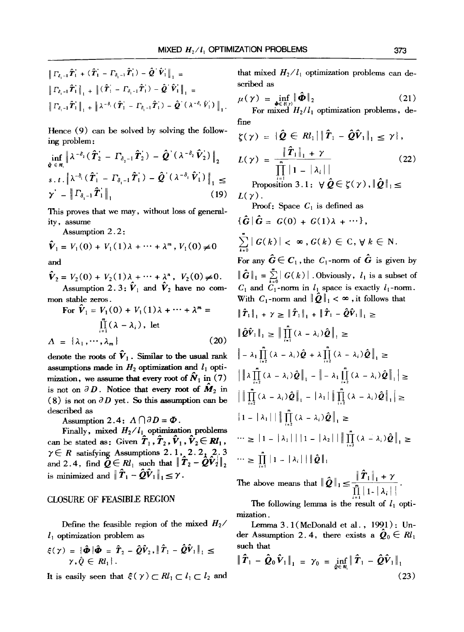$$
\|\Gamma_{\delta_i-1}\hat{T}_1 + (\hat{T}_1 - \Gamma_{\delta_i-1}\hat{T}_1') - \hat{Q}^\top \hat{V}_1'\|_1 =
$$
\n
$$
\|\Gamma_{\delta_i-1}\hat{T}_1\|_1 + \|(\hat{T}_1 - \Gamma_{\delta_i-1}\hat{T}_1') - \hat{Q}^\top \hat{V}_1'\|_1 =
$$
\n
$$
\|\Gamma_{\delta_i-1}\hat{T}_1'\|_1 + \|\lambda^{-\delta_i}(\hat{T}_1' - \Gamma_{\delta_i-1}\hat{T}_1') - \hat{Q}^\top(\lambda^{-\delta_i} \hat{V}_1')\|_1.
$$

Hence (9) can be solved by solving the following problem:

$$
\inf_{\hat{\mathbf{\varrho}} \in \mathcal{B}_{i}} \left\| \lambda^{-\delta_{2}} (\hat{\boldsymbol{T}}_{2}^{\prime} - \boldsymbol{\varGamma}_{\delta_{1}-1} \hat{\boldsymbol{T}}_{2}^{\prime}) - \hat{\boldsymbol{\varrho}}^{\prime} (\lambda^{-\delta_{2}} \hat{\boldsymbol{V}}_{2}^{\prime}) \right\|_{2}
$$
\n
$$
s, t, \left\| \lambda^{-\delta_{i}} (\hat{\boldsymbol{T}}_{1}^{\prime} - \boldsymbol{\varGamma}_{\delta_{i}-1} \hat{\boldsymbol{T}}_{1}^{\prime}) - \hat{\boldsymbol{\varrho}}^{\prime} (\lambda^{-\delta_{i}} \hat{\boldsymbol{V}}_{1}^{\prime}) \right\|_{1} \leq
$$
\n
$$
\gamma^{\prime} - \left\| \boldsymbol{\varGamma}_{\delta_{i}-1} \hat{\boldsymbol{T}}_{1}^{\prime} \right\|_{1} \qquad (19)
$$

This proves that we may, without loss of generality, assume

Assumption 2.2:

$$
\hat{V}_1 = V_1(0) + V_1(1)\lambda + \dots + \lambda^m, V_1(0) \neq 0
$$

and

$$
\hat{V}_2 = V_2(0) + V_2(1)\lambda + \cdots + \lambda^n, V_2(0) \neq 0.
$$
  
Assumption 2.3:  $\hat{V}_1$  and  $\hat{V}_2$  have no common stable zeros.

For 
$$
\hat{V}_1 = V_1(0) + V_1(1)\lambda + \cdots + \lambda^m =
$$
  
\n
$$
\prod_{i=1}^m (\lambda - \lambda_i), \text{ let}
$$
\n
$$
\Lambda = {\lambda_1, \cdots, \lambda_m}
$$
\n(20)

denote the roots of  $\hat{V}_1$ . Similar to the usual rank assumptions made in  $H_2$  optimization and  $l_1$  optimization, we assume that every root of  $N_1$  in (7) is not on  $\partial D$ . Notice that every root of  $\tilde{M}_2$  in  $(8)$  is not on  $\partial D$  yet. So this assumption can be described as

Assumption 2.4:  $\Lambda \bigcap \partial D = \Phi$ .

Finally, mixed  $H_2/I_1$  optimization problems can be stated as: Given  $\hat{T}_1$ ,  $\hat{T}_2$ ,  $\hat{V}_1$ ,  $\hat{V}_2 \in \mathbb{R}l_1$ ,  $\gamma \in R$  satisfying Assumptions 2.1, 2.2, 2, 3 and 2.4, find  $\tilde{Q} \in R l_1$  such that  $\|\hat{T}_2 - \hat{Q} \hat{V}_2\|_2$ is minimized and  $\|\hat{\boldsymbol{T}}_1 - \hat{\boldsymbol{Q}}\hat{\boldsymbol{V}}_1\|_1 \leq \gamma$ .

## **CLOSURE OF FEASIBLE REGION**

Define the feasible region of the mixed  $H_2$ /  $l_1$  optimization problem as

$$
\xi(\gamma) = \{ \hat{\Phi} \mid \hat{\Phi} = \hat{T}_2 - \hat{Q}\hat{V}_2, \|\hat{T}_1 - \hat{Q}\hat{V}_1\|_1 \leq \gamma, \hat{Q} \in Rl_1 \}.
$$

It is easily seen that  $\xi(\gamma) \subset Rl_1 \subset l_1 \subset l_2$  and

that mixed  $H_2/I_1$  optimization problems can described as

$$
\mu(\gamma) = \inf_{\boldsymbol{\phi} \in \mathfrak{K}(\gamma)} \| \hat{\boldsymbol{\Phi}} \|_2 \tag{21}
$$

For mixed  $H_2/I_1$  optimization problems, define

$$
\zeta(\gamma) = \{ \mathbf{Q} \in Rl_1 | \|\mathbf{T}_1 - \mathbf{Q} \mathbf{V}_1\|_1 \leq \gamma \},
$$
  
\n
$$
L(\gamma) = \frac{\|\hat{\mathbf{T}}_1\|_1 + \gamma}{\prod_{i=1}^m |1 - |\lambda_i|} \tag{22}
$$
  
\nProposition 3.1:  $\forall \hat{\mathbf{Q}} \in \zeta(\gamma), \|\hat{\mathbf{Q}}\|_1 \leq \gamma \}$ 

 $L(\gamma)$ .

Proof: Space 
$$
C_1
$$
 is defined as  
\n
$$
\{\hat{G} \mid \hat{G} = G(0) + G(1)\lambda + \cdots\},
$$
\n
$$
\sum_{i=0}^{n} |G(k)| < \infty, G(k) \in C, \forall k \in \mathbb{N}.
$$
\nFor any  $\hat{G} \in C_1$ , the  $C_1$ -norm of  $\hat{G}$  is given by  
\n
$$
\|\hat{G}\|_1 = \sum_{i=0}^{n} |G(k)|
$$
. Obviously,  $l_1$  is a subset of  
\n $C_1$  and  $C_1$ -norm in  $l_1$  space is exactly  $l_1$ -norm.  
\nWith  $C_1$ -norm and  $\|\hat{Q}\|_1 < \infty$ , it follows that  
\n
$$
\|\hat{T}_1\|_1 + \gamma \ge \|\hat{T}_1\|_1 + \|\hat{T}_1 - \hat{Q}\hat{V}_1\|_1 \ge
$$
\n
$$
\|\hat{Q}\hat{V}_1\|_1 \ge \|\prod_{i=1}^{n} (\lambda - \lambda_i) \hat{Q}\|_1 \ge
$$
\n
$$
\| - \lambda_1 \prod_{i=2}^{n} (\lambda - \lambda_i) \hat{Q} + \lambda \prod_{i=2}^{n} (\lambda - \lambda_i) \hat{Q}\|_1 \ge
$$
\n
$$
\| \lambda \prod_{i=2}^{n} (\lambda - \lambda_i) \hat{Q}\|_1 - \| - \lambda_1 \prod_{i=2}^{n} (\lambda - \lambda_i) \hat{Q}\|_1 \ge
$$
\n
$$
\| \prod_{i=2}^{n} (\lambda - \lambda_i) \hat{Q}\|_1 - |\lambda_1| \| \prod_{i=2}^{n} (\lambda - \lambda_i) \hat{Q}\|_1 \ge
$$
\n
$$
\| 1 - |\lambda_1| \| \| \prod_{i=2}^{n} (\lambda - \lambda_i) \hat{Q}\|_1 \ge
$$
\n
$$
\cdots \ge |1 - |\lambda_1| \| 1 - |\lambda_2| \| \| \prod_{i=3}^{n} (\lambda - \lambda_i) \hat{Q}\|_1 \ge
$$
\n
$$
\cdots \ge \prod_{i=1}^{n} |1 - |\lambda_i| \| \hat{Q}\|_1
$$

The above means that  $\|\hat{\bm{Q}}\|_1 \leq \frac{\|}{\sqrt{n}}$  $\prod |1 - |\lambda_i|$ 

The following lemma is the result of  $l_1$  optimization.

Lemma  $3.1$  (McDonald et al., 1991): Un- $\mathrm{der}\,$  Assumption 2.4, there exists a  $\boldsymbol{\mathcal{Q}}_0\in$   $\mathcal{R}l_1$ such that

$$
\|\hat{\boldsymbol{T}}_1-\hat{\boldsymbol{Q}}_0\hat{\boldsymbol{V}}_1\|_1 = \gamma_0 = \inf_{\hat{\boldsymbol{Q}}\in\mathcal{R}_1} \|\hat{\boldsymbol{T}}_1-\hat{\boldsymbol{Q}}\hat{\boldsymbol{V}}_1\|_1
$$
\n(23)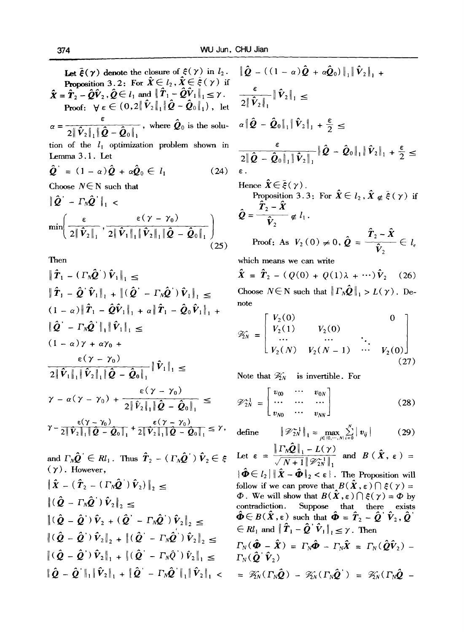Let  $\bar{\xi}(\gamma)$  denote the closure of  $\xi(\gamma)$  in  $l_2$ . **Proposition 3.2:** For  $\hat{\mathbf{X}} \in l_2$ ,  $\hat{\mathbf{X}} \in \bar{\xi}(\gamma)$  if  $\hat{\boldsymbol{X}} = \hat{\boldsymbol{T}}_2 - \hat{\boldsymbol{Q}} \hat{\boldsymbol{V}}_2$ ,  $\hat{\boldsymbol{Q}} \in l_1$  and  $\|\hat{\boldsymbol{T}}_1 - \hat{\boldsymbol{Q}} \hat{\boldsymbol{V}}_1\|_1 \leq \gamma$ . Proof:  $\forall \varepsilon \in (0,2\|\hat{V}_2\|_1\|\hat{Q}-\hat{Q}_0\|_1)$ , let , where  $\mathcal{Q}_0$  is the solu- $= 2||V_2||_1||Q - Q_0||_1$ tion of the  $l_1$  optimization problem shown in Lemma 3.1. Let  $\hat{\boldsymbol{O}} = (1-\alpha)\hat{\boldsymbol{O}} + \alpha\hat{\boldsymbol{O}}_0 \in l_1$  $(24)$ Choose  $N \in \mathbb{N}$  such that  $\|\hat{\boldsymbol{Q}}^{\prime} - \boldsymbol{\Gamma_N}\hat{\boldsymbol{Q}}^{\prime}\|_{1}$  $\varepsilon(\gamma - \gamma_0)$  |  $\cdots$  |  $2|\hat{\mathbf{V}}_2|$ .  $2 \| V_1 \|_1 \| V_2 \|_1 \| Q - Q_0 \|_1$  $(25)$ Then  $||T_1 - (T_N Q) V_1||_1 \le$  $\left\| \boldsymbol{T}_1 - \boldsymbol{Q}^\top \boldsymbol{V}_1 \right\|_1 + \left\| \left( \boldsymbol{Q}^\top - \boldsymbol{\Gamma_N} \boldsymbol{Q}^\top \right) \boldsymbol{V}_1 \right\|_1$  $(1-\alpha)$  ||  $T_1 - QV_1$  ||  $_1 + \alpha$  ||  $T_1 - Q_0V_1$  ||  $_1 +$  $\|\hat{\bm{Q}}^{\dagger} - \bm{\Gamma}_N \hat{\bm{Q}}^{\dagger}\|_1 \|\hat{\bm{V}}_1\|_1 \leq$  $(1 - \alpha)\gamma + \alpha\gamma_0 +$ 

$$
\frac{\epsilon(\gamma - \gamma_0)}{2\|\hat{V}_1\|_1\|\hat{V}_2\|_1\|\hat{Q} - \hat{Q}_0\|_1} \|\hat{V}_1\|_1 \le
$$
\n
$$
\gamma - \alpha(\gamma - \gamma_0) + \frac{\epsilon(\gamma - \gamma_0)}{2\|\hat{V}_2\|_1\|\hat{Q} - \hat{Q}_0\|_1} \le
$$
\n
$$
\gamma - \frac{\epsilon(\gamma - \gamma_0)}{2\|\hat{V}_2\|_1\|\hat{Q} - \hat{Q}_0\|_1} + \frac{\epsilon(\gamma - \gamma_0)}{2\|\hat{V}_2\|_1\|\hat{Q} - \hat{Q}_0\|_1} \le \gamma,
$$

and  $\Gamma_N\boldsymbol{Q}^{\text{'}}\in Rl_1$  . Thus  $\tilde{\bm{T}}_2$  – (  $\Gamma_N\boldsymbol{Q}^{\text{'}})$   $\tilde{\bm{V}}_2$   $\in$  $(\gamma)$ . However,  $\left\| \boldsymbol{X} - \left( \right. \boldsymbol{T}_2 - \left( \left. \boldsymbol{\Gamma_N Q} \right. \right) \boldsymbol{V}_2 \right) \right\|_2$  $\left\| \left( \boldsymbol{Q} - \boldsymbol{\varGamma}_{\mathsf{N}} \boldsymbol{Q}^{\prime} \right) \boldsymbol{V}_{2} \right\|_2 \leq$  $\|(\hat{\mathbf{Q}} - \hat{\mathbf{Q}}')\hat{\mathbf{V}}_2\|_{1} + \|(\hat{\mathbf{Q}}' - \Gamma_N\hat{\mathbf{Q}}')\hat{\mathbf{V}}_2\|_{1}$  $\|Q - Q\|_1 \|V_2\|_1 + \|Q - \Gamma_N Q\|_1 \|V_2\|_1 < \infty$  $\|(\hat{\boldsymbol{Q}} - \hat{\boldsymbol{Q}}')\hat{\boldsymbol{V}}_2 + (\hat{\boldsymbol{Q}}' - \boldsymbol{\Gamma}_N\hat{\boldsymbol{Q}}')\hat{\boldsymbol{V}}_2\|_{2} <$  $\|(\hat{\bm{Q}} - \hat{\bm{Q}}')\hat{\bm{V}}_2\|_2 + \|(\hat{\bm{Q}}' - \bm{\Gamma}_N\hat{\bm{Q}}')\hat{\bm{V}}_2\|_2 <$ 

$$
\|\hat{Q} - ((1 - \alpha)\hat{Q} + \alpha\hat{Q}_0)\|_1 \|\hat{V}_2\|_1 +
$$
\n
$$
\frac{\varepsilon}{2\|\hat{V}_2\|_1} \|\hat{V}_2\|_1 \le
$$
\n
$$
\alpha\|\hat{Q} - \hat{Q}_0\|_1 \|\hat{V}_2\|_1 + \frac{\varepsilon}{2} \le
$$
\n
$$
\frac{\varepsilon}{2\|\hat{Q} - \hat{Q}_0\|_1 \|\hat{V}_2\|_1} \|\hat{Q} - \hat{Q}_0\|_1 \|\hat{V}_2\|_1 + \frac{\varepsilon}{2} \le
$$
\n
$$
\varepsilon.
$$

Hence  $\hat{\mathbf{x}} \in \bar{\boldsymbol{\varepsilon}}(\gamma)$ . Proposition 3.3: For  $\hat{X} \in l_2$ ,  $\hat{X} \notin \overline{\xi}(\gamma)$  if  $T_2 - X$  $\mathbf{v}$   $\hat{\mathbf{v}}$ ,  $\mathbf{v}$ ,  $\mathbf{v}$ . Proof: As  $V_2(0) \neq 0, Q =$  $\boldsymbol{T}_2$  –  $\boldsymbol{X}$  $\frac{1}{\mathbf{\hat{V}}_2} \in \mathit{l}_e$ 

which means we can write

$$
\hat{\boldsymbol{X}} = \hat{\boldsymbol{T}}_2 - (Q(0) + Q(1)\lambda + \cdots)\hat{\boldsymbol{V}}_2 \quad (26)
$$

note Choose  $N \in \mathbb{N}$  such that  $\|\Gamma_N \mathcal{Q}\|_1 > L(\gamma)$ . De-

note  
\n
$$
\mathscr{Z}_{N} = \begin{bmatrix} V_{2}(0) & 0 \\ V_{2}(1) & V_{2}(0) & \cdots & V_{2}(0) \\ \cdots & \cdots & \ddots & \vdots \\ V_{2}(N) & V_{2}(N-1) & \cdots & V_{2}(0) \end{bmatrix}
$$
\n(27)

Note that 
$$
\mathcal{Z}_N
$$
 is invertible. For  
\n
$$
\mathcal{V}_{2N}^{-1} = \begin{bmatrix} v_{00} & \cdots & v_{0N} \\ \cdots & \cdots & \cdots \\ v_{N0} & \cdots & v_{NN} \end{bmatrix}
$$
\n(28)

define 
$$
\|\mathscr{V}_{2N}^{-1}\|_1 = \max_{j \in \{0, \cdots, N\}} \sum_{i=0}^{N} |v_{ij}|
$$
 (29)

Let 
$$
\varepsilon = \frac{\|\Gamma_N \hat{Q}\|_1 - L(\gamma)}{\sqrt{N+1} \|\mathscr{D}_{2N}^{-1}\|_1} \text{ and } B(\hat{X}, \varepsilon) = \|\hat{\Phi} \in l_2 \|\hat{X} - \hat{\Phi}\|_2 < \varepsilon
$$
. The Proposition will follow if we can prove that  $B(\hat{X}, \varepsilon) \cap \xi(\gamma) = \Phi$ . We will show that  $B(\hat{X}, \varepsilon) \cap \xi(\gamma) = \Phi$  by contradiction. Suppose that there exists  $\hat{\Phi} \in B(\hat{X}, \varepsilon)$  such that  $\hat{\Phi} = \hat{T}_2 - \hat{Q} \hat{V}_2, \hat{Q} \in Rl_1$  and  $\|\hat{T}_1 - \hat{Q} \hat{V}_1\|_1 \leq \gamma$ . Then  $\Gamma_N(\hat{\Phi} - \hat{X}) = \Gamma_N \hat{\Phi} - \Gamma_N \hat{X} = \Gamma_N(\hat{Q} \hat{V}_2) - \Gamma_N(\hat{Q} \hat{V}_2)$  $= \mathscr{V}_N(\Gamma_N \hat{Q}) - \mathscr{V}_N(\Gamma_N \hat{Q} \hat{V}) = \mathscr{V}_N(\Gamma_N \hat{Q} - \Gamma_N \hat{V}_2)$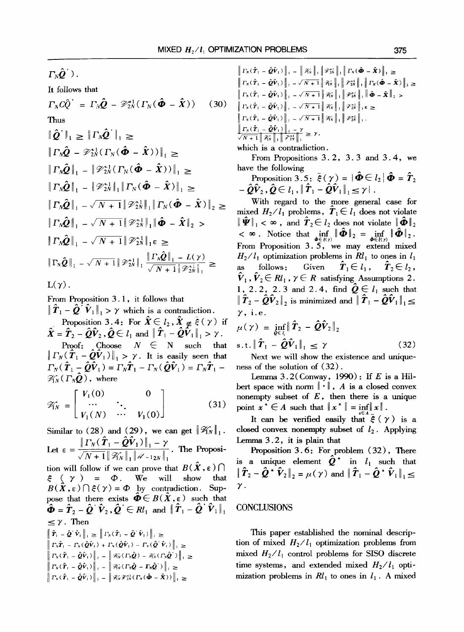$\Gamma_N \hat{\bm{Q}}^{\top}$ ).

It follows that  
\n
$$
\Gamma_N C \hat{Q}^{\dagger} = \Gamma_N \hat{Q} - \mathcal{V}_{2N}^{-1} (\Gamma_N (\hat{\Phi} - \hat{X})) \qquad (30)
$$
\nThus\n
$$
\|\hat{Q}^{\dagger}\|_1 \geq \|\Gamma_N \hat{Q}^{\dagger}\|_1 \geq \|\Gamma_N \hat{Q}^{\dagger}\|_1 \geq \|\Gamma_N \hat{Q} - \mathcal{V}_{2N}^{-1} (\Gamma_N (\hat{\Phi} - \hat{X}))\|_1 \geq \|\Gamma_N \hat{Q}\|_1 - \|\mathcal{V}_{2N}^{-1} (\Gamma_N (\hat{\Phi} - \hat{X}))\|_1 \geq \|\Gamma_N \hat{Q}\|_1 - \|\mathcal{V}_{2N}^{-1}\|_1 \|\Gamma_N (\hat{\Phi} - \hat{X})\|_1 \geq \|\Gamma_N \hat{Q}\|_1 - \sqrt{N+1} \|\mathcal{V}_{2N}^{-1}\|_1 \|\Gamma_N (\hat{\Phi} - \hat{X})\|_2 \geq \|\Gamma_N \hat{Q}\|_1 - \sqrt{N+1} \|\mathcal{V}_{2N}^{-1}\|_1 \|\hat{\Phi} - \hat{X}\|_2 > \|\Gamma_N \hat{Q}\|_1 - \sqrt{N+1} \|\mathcal{V}_{2N}^{-1}\|_1 \epsilon \geq \|\Gamma_N \hat{Q}\|_1 - \sqrt{N+1} \|\mathcal{V}_{2N}^{-1}\|_1 \epsilon \geq \|\Gamma_N \hat{Q}\|_1 - \sqrt{N+1} \|\mathcal{V}_{2N}^{-1}\|_1 \frac{\|\Gamma_N \hat{Q}\|_1 - L(\gamma)}{\sqrt{N+1} \|\mathcal{V}_{2N}^{-1}\|_1} \geq L(\gamma).
$$
\n
$$
L(\gamma).
$$

From Proposition 3.1, it follows that

 $\|\hat{\boldsymbol{T}}_1 - \hat{\boldsymbol{Q}}^T \hat{\boldsymbol{V}}_1\|_1 > \gamma$  which is a contradiction. Proposition 3.4: For  $\hat{X} \in l_2$ ,  $\hat{X} \notin \overline{\xi}(\gamma)$  if  $\hat{\mathbf{X}} = \hat{\mathbf{T}}_2 - \hat{\mathbf{Q}} \hat{\mathbf{V}}_2$ ,  $\hat{\mathbf{Q}} \in l_1$  and  $\|\hat{\mathbf{T}}_1 - \hat{\mathbf{Q}} \hat{\mathbf{V}}_1\|_1 > \gamma$ . Proof: Choose  $N \in N$  such that  $\left\| \Gamma_N(\hat{\boldsymbol{T}}_1 - \hat{\boldsymbol{Q}} \hat{\boldsymbol{V}}_1) \right\|_1 > \gamma$ . It is easily seen that  $\Gamma_N(\hat{\boldsymbol{T}}_1-\hat{\boldsymbol{Q}}\hat{\boldsymbol{V}}_1) = \Gamma_N\hat{\boldsymbol{T}}_1 - \Gamma_N(\hat{\boldsymbol{Q}}\hat{\boldsymbol{V}}_1) = \Gamma_N\hat{\boldsymbol{T}}_1 \mathscr{K}_{N}(\Gamma_{N}\tilde{Q})$ , where

$$
\mathscr{V}_N = \begin{bmatrix} V_1(0) & 0 \\ \cdots & \ddots \\ V_1(N) & \cdots & V_1(0) \end{bmatrix} \tag{31}
$$

Similar to (28) and (29), we can get  $||\mathcal{H}_N||_1$ . Let  $\varepsilon = \frac{\| \Gamma_N(\|T_1 - \mathcal{Q} V_1) \|_1 - \gamma}{\sqrt{N+1} \|\mathcal{K}_N\|_1 \|\mathcal{U} - 1_{2N}\|_1}$ . The Proposition will follow if we can prove that  $B(X, \epsilon) \bigcap$  $\xi$  (  $\gamma$  ) =  $\Phi$ . We will show that  $B(\hat{X}, \varepsilon) \cap \xi(\gamma) = \Phi$  by contradiction. Suppose that there exists  $\boldsymbol{\Phi} \in B(X, \varepsilon)$  such that  $\hat{\Phi} = \hat{T}_2 - \hat{Q} \hat{V}_2$ ,  $\hat{Q} \in \mathbb{R}^I_1$  and  $\|\hat{T}_1 - \hat{Q} \hat{V}_1\|_1$  $\leq \gamma$ . Then  $\begin{aligned} \left\| \hat{T}_\perp-\hat{\bm{Q}}^\top\hat{\bm{V}}_\perp \right\|_\perp &\geq \left\| \varGamma_N(\hat{T}_1-\hat{\bm{Q}}^\top\hat{\bm{V}}_\perp) \right\|_\perp \geq \ &\left\| \varGamma_N\hat{T}_\perp-\varGamma_N(\hat{\bm{Q}}\hat{\bm{V}}_\perp)+\varGamma_N(\hat{\bm{Q}}\hat{\bm{V}}_\perp)-\varGamma_N(\hat{\bm{Q}}^\top\hat{\bm{V}}_\perp) \right\|_\perp \geq \end{aligned}$  $\left\| \Gamma_N(\hat{T}_1 - \hat{Q}\hat{V}_1) \right\|_{\mathcal{I}} = \left\| \mathcal{K}_N(\Gamma_N \hat{Q}) - \mathcal{K}_N(\Gamma_N \hat{Q}) \right\|_{\mathcal{I}} \geq$  $\left\| \left. \boldsymbol{\Gamma_N} ( \, \boldsymbol{\hat{T}}_1 \, - \, \boldsymbol{\hat{Q}} \, \boldsymbol{\hat{V}}_1 ) \, \right\|_{\perp} \, - \, \left\| \, \mathcal{R}_N^{\perp} ( \, \boldsymbol{\Gamma_N} \boldsymbol{\hat{Q}} \, - \, \boldsymbol{\Gamma_N} \boldsymbol{\hat{Q}}^{\top} ) \, \right\|_{\perp} \, \geq$  $\left\| \Gamma_N(\hat{\boldsymbol{T}}_1 - \hat{\boldsymbol{Q}} \hat{\boldsymbol{V}}_1) \right\|_1 = \left\| \mathcal{K}_N \mathcal{F}_{2N}^{-1} (\Gamma_N(\hat{\boldsymbol{\Phi}} - \hat{\boldsymbol{X}})) \right\|_1 \geq$ 

$$
\|I_N(\hat{\mathbf{T}}_1 - \hat{\mathbf{Q}}\hat{\mathbf{V}}_1)\|_1 - \|\hat{\mathbf{Z}}_N\|_1 \|\hat{\mathbf{Z}}_N^{\star}\|_1 \|\hat{\mathbf{Y}}_N(\hat{\boldsymbol{\Phi}} - \hat{\mathbf{X}})\|_1 \ge
$$
\n
$$
\|T_N(\hat{\mathbf{T}}_1 - \hat{\mathbf{Q}}\hat{\mathbf{V}}_1)\|_1 - \sqrt{N+1} \|\hat{\mathbf{Z}}_N\|_1 \|\hat{\mathbf{Z}}_N^{\star}\|_1 \|\hat{\mathbf{Y}}_N(\hat{\boldsymbol{\Phi}} - \hat{\mathbf{X}})\|_2 \ge
$$
\n
$$
\|T_N(\hat{\mathbf{T}}_1 - \hat{\mathbf{Q}}\hat{\mathbf{V}}_1)\|_1 - \sqrt{N+1} \|\hat{\mathbf{Z}}_N^{\star}\|_1 \|\hat{\mathbf{Z}}_N^{\star}\|_1 \|\hat{\boldsymbol{\Phi}} - \hat{\mathbf{X}}\|_2 >
$$
\n
$$
\|T_N(\hat{\mathbf{T}}_1 - \hat{\mathbf{Q}}\hat{\mathbf{V}}_1)\|_1 - \sqrt{N+1} \|\hat{\mathbf{Z}}_N^{\star}\|_1 \|\hat{\mathbf{Z}}_N^{\star}\|_1 \|\hat{\boldsymbol{\Phi}} - \hat{\mathbf{X}}\|_2 >
$$
\n
$$
\|T_N(\hat{\mathbf{T}}_1 - \hat{\mathbf{Q}}\hat{\mathbf{V}}_1)\|_1 - \sqrt{N+1} \|\hat{\mathbf{Z}}_N^{\star}\|_1 \|\hat{\mathbf{Z}}_N^{\star}\|_1.
$$
\n
$$
\frac{\|\hat{\mathbf{T}}_N(\hat{\mathbf{T}}_1 - \hat{\mathbf{Q}}\hat{\mathbf{V}}_1)\|_1 - \gamma}{\sqrt{N+1} \|\hat{\mathbf{Z}}_N^{\star}\|_1 \|\hat{\mathbf{Z}}_N^{\star}\|_1} \ge \gamma,
$$
\nwhich is a contradiction.

From Propositions 3.2, 3.3 and 3.4, we have the following

Proposition 3.5:  $\bar{\xi}(\gamma) = {\hat{\boldsymbol{\Phi}}} \in l_2 | \hat{\boldsymbol{\Phi}} = \hat{\boldsymbol{T}}_2$  $-\hat{\boldsymbol{Q}}\hat{\boldsymbol{V}}_2$ ,  $\hat{\boldsymbol{Q}} \in l_1$ ,  $\|\hat{\boldsymbol{T}}_1 - \hat{\boldsymbol{Q}}\hat{\boldsymbol{V}}_1\|_1 \leq \gamma$ .

**With** regard to the more general case for mixed  $H_2/I_1$  problems,  $T_1 \in I_1$  does not violate  $\|\hat{\mathbf{\Psi}}\|_{1} < \infty$ , and  $\hat{\mathbf{T}}_{2} \in l_{2}$  does not violate  $\|\hat{\mathbf{\Phi}}\|_{2}$  $< \infty$ . Notice that inf  $\|\mathbf{\Phi}\|_2 = \inf_{\mathbf{\Phi}} \|\mathbf{\Phi}\|_2$ . From Proposition 3. 5, we may extend mixed  $H_2/I_1$  optimization problems in  $R_1$  to ones in  $I_1$ as follows: Given  $\ddot{T}_1 \in l_1$ ,  $\ddot{T}_2 \in l_2$ ,  $\hat{\mathbf{V}}_1$ ,  $\hat{\mathbf{V}}_2 \in R_l$ ,  $\gamma \in R$  satisfying Assumptions 2. 1, 2.2, 2.3 and 2.4, find  $\hat{\mathbf{Q}} \in l_1$  such that  $\|\hat{T}_2 - \hat{Q}\hat{V}_2\|_2$  is minimized and  $\|\hat{T}_1 - \hat{Q}\hat{V}_1\|_1 \leq$  $\gamma$ , i.e.

$$
\mu(\gamma) = \inf_{\hat{\boldsymbol{\theta}} \in \mathbb{I}_1} \|\hat{\boldsymbol{T}}_2 - \hat{\boldsymbol{Q}} \hat{\boldsymbol{V}}_2\|_2
$$
  
s.t. 
$$
\|\hat{\boldsymbol{T}}_1 - \hat{\boldsymbol{Q}} \hat{\boldsymbol{V}}_1\|_1 \leq \gamma
$$
 (32)

Next we will show the existence and uniqueness of the solution of (32).

Lemma 3.2(Conway, 1990): If E is a Hilbert space with norm  $\|\cdot\|$ , A is a closed convex nonempty subset of  $E$ , then there is a unique point  $x^* \in A$  such that  $||x^*|| = \inf ||x||$ .

It can be verified easily that  $\bar{\xi}(\gamma)$  is a closed convex nonempty subset of  $l_2$ . Applying Lemma  $3.2$ , it is plain that

Proposition  $3.6$ : For problem  $(32)$ , There is a unique element  $\hat{\mathbf{Q}}^*$  in  $l_1$  such that  $\|\hat{\boldsymbol{T}}_2-\hat{\boldsymbol{Q}}*\hat{\boldsymbol{V}}_2\|_2=\mu(\boldsymbol{\gamma})$  and  $\|\hat{\boldsymbol{T}}_1-\hat{\boldsymbol{Q}}*\hat{\boldsymbol{V}}_1\|_1 \leq$  $\gamma$  .

### **CONCLUSIONS**

This paper established the nominal description of mixed  $H_2/I_1$  optimization problems from mixed  $H_2/I_1$  control problems for SISO discrete time systems, and extended mixed  $H_2/I_1$  optimization problems in  $Rl_1$  to ones in  $l_1$ . A mixed